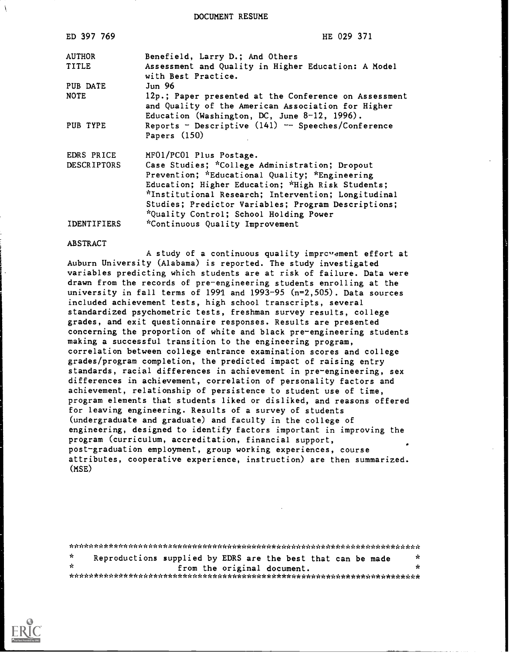DOCUMENT RESUME

| ED 397 769         | HE 029 371                                                                                                                                                  |
|--------------------|-------------------------------------------------------------------------------------------------------------------------------------------------------------|
| <b>AUTHOR</b>      | Benefield, Larry D.; And Others                                                                                                                             |
| TITLE              | Assessment and Quality in Higher Education: A Model<br>with Best Practice.                                                                                  |
| PUB DATE           | Jun <sub>96</sub>                                                                                                                                           |
| <b>NOTE</b>        | 12p.; Paper presented at the Conference on Assessment<br>and Quality of the American Association for Higher<br>Education (Washington, DC, June 8-12, 1996). |
| PUB TYPE           | Reports - Descriptive $(141)$ -- Speeches/Conference<br>Papers $(150)$                                                                                      |
| EDRS PRICE         | MF01/PC01 Plus Postage.                                                                                                                                     |
| <b>DESCRIPTORS</b> | Case Studies; *College Administration; Dropout                                                                                                              |
|                    | Prevention; *Educational Quality; *Engineering                                                                                                              |
|                    | Education; Higher Education; *High Risk Students;                                                                                                           |
|                    | *Institutional Research; Intervention; Longitudinal                                                                                                         |
|                    | Studies; Predictor Variables; Program Descriptions;                                                                                                         |
|                    | *Quality Control; School Holding Power                                                                                                                      |
| IDENTIFIERS        | *Continuous Quality Improvement                                                                                                                             |

#### ABSTRACT

A study of a continuous quality improvement effort at Auburn University (Alabama) is reported. The study investigated variables predicting which students are at risk of failure. Data were drawn from the records of pre-engineering students enrolling at the university in fall terms of 1991 and  $1993-95$  (n=2,505). Data sources included achievement tests, high school transcripts, several standardized psychometric tests, freshman survey results, college grades, and exit questionnaire responses. Results are presented concerning the proportion of white and black pre-engineering students making a successful transition to the engineering program, correlation between college entrance examination scores and college grades/program completion, the predicted impact of raising entry standards, racial differences in achievement in pre-engineering, sex differences in achievement, correlation of personality factors and achievement, relationship of persistence to student use of time, program elements that students liked or disliked, and reasons offered for leaving engineering. Results of a survey of students (undergraduate and graduate) and faculty in the college of engineering, designed to identify factors important in improving the program (curriculum, accreditation, financial support, post-graduation employment, group working experiences, course attributes, cooperative experience, instruction) are then summarized. (MSE)

\*\*\*\*\*\*\*\*\*\*\*\*\*\*\*\*\*\*\*\*\*\*\*\*\*\*\*\*\*\*\*\*\*\*\*\*\*\*\*\*\*\*\*\*\*\*\*\*\*\*\*\*\*\*\*\*\*\*\*\*\*\*\*\*\*\*\*\*\*\*\*  $\mathbf{r}$ Reproductions supplied by EDRS are the best that can be made from the original document. \*\*\*\*\*\*\*\*\*\*\*\*\*\*\*\*\*\*\*\*\*\*\*\*\*\*\*\*\*\*\*\*\*\*\*\*\*\*\*\*\*\*\*\*\*\*\*\*\*\*\*\*\*\*\*\*\*\*\*\*\*\*\*\*\*\*\*\*\*\*\*

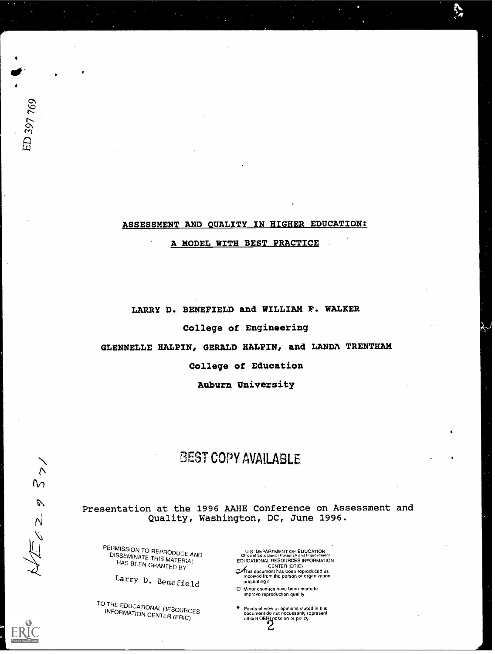# ASSESSMENT AND OUALITY IN HIGHER EDUCATION:

**s** such as a set of the set of the set of the set of the set of the set of the set of the set of the set of the set of the set of the set of the set of the set of the set of the set of the set of the set of the set of the

## A MODEL WITH BEST PRACTICE

LARRY D. BENEFIELD and WILLIAM P. WALKER College of Engineering GLENNELLE HALPIN, GERALD HALPIN, and LANDA TRENTHAM College of Education Auburn University

# BEST COPY AVAILABLE

Presentation at the 1996 AAHE Conference on Assessment and Quality, Washington, DC, June 1996.

PERMISSION TO REPRODUCE AND<br>DISSEMINATE THIS MATERIAL HAS BEEN GRANTED BY

Larry D. Benefield

TO THE EDUCATIONAL RESOURCES<br>INFORMATION CENTER INFORMATION CENTER (ERIC)

U S DEPARTMENT OF EDUCATION<br>Office of Lducational Research and Improvement<br>EDUCATIONAL RESOURCES INFORMATION

- CENTER (ERIC)<br>This document has been reproduced as<br>received from tho porson or organization originating it
- 0 Minor changes have boon made to Improve reproduction quality
- Points of view or opinions slated in this document do not necessarily represent official OERI position or policy

ED 397 769

 $\bullet$  and  $\bullet$ 

 $6650$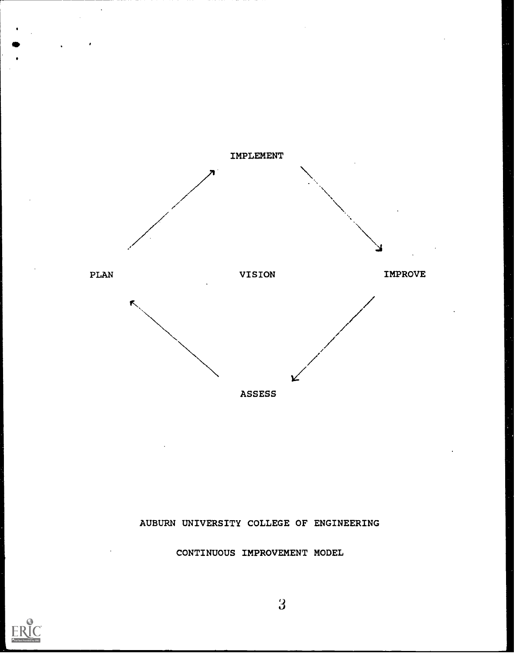

AUBURN UNIVERSITY COLLEGE OF ENGINEERING

CONTINUOUS IMPROVEMENT MODEL



 $\overline{3}$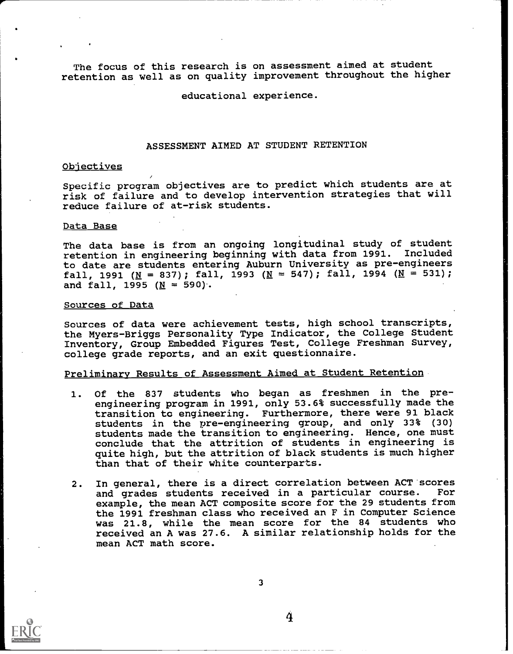The focus of this research is on assessment aimed at student retention as well as on quality improvement throughout the higher

educational experience.

## ASSESSMENT AIMED AT STUDENT RETENTION

## Objectives

Specific program objectives are to predict which students are at risk of failure and to develop intervention strategies that will reduce failure of at-risk students.

## Data Base

The data base is from an ongoing longitudinal study of student retention in engineering beginning with data from 1991. Included to date are students entering Auburn University as pre-engineers fall, 1991 ( $\underline{N} = 837$ ); fall, 1993 ( $\underline{N} = 547$ ); fall, 1994 ( $\underline{N} = 531$ ); and fall, 1995  $(N = 590)$ .

#### Sources of Data

Sources of data were achievement tests, high school transcripts, the Myers-Briggs Personality Type Indicator, the College Student Inventory, Group Embedded Figures Test, College Freshman Survey, college grade reports, and an exit questionnaire.

## Preliminary Results of Assessment Aimed at Student Retention

- 1. Of the 837 students who began as freshmen in the preengineering program in 1991, only 53.6% successfully made the transition to engineering. Furthermore, there were 91 black students in the pre-engineering group, and only 33% (30) students made the transition to engineering. Hence, one must conclude that the attrition of students in engineering is quite high, but the attrition of black students is much higher than that of their white counterparts.
- 2. In general, there is a direct correlation between ACT scores<br>and grades students received in a particular course. For and grades students received in a particular course. example, the mean ACT composite score for the 29 students from the 1991 freshman class who received an F in Computer Science was 21.8, while the mean score for the 84 students who received an A was 27.6. A similar relationship holds for the mean ACT math score.



3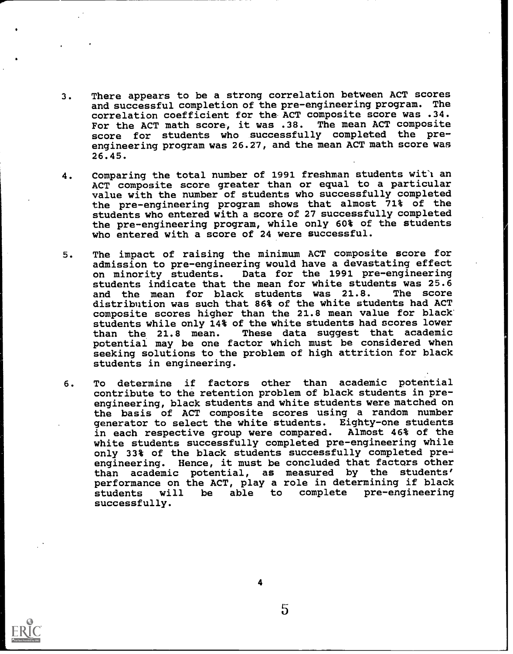- 3. There appears to be a strong correlation between ACT scores and successful completion of the pre-engineering program. The correlation coefficient for the ACT composite score was .34. For the ACT math score, it was .38. The mean ACT composite score for students who successfully completed the preengineering program was 26.27, and the mean ACT math score was 26.45.
- 4. Comparing the total number of 1991 freshman students wit'l an ACT composite score greater than or equal to a particular value with the number of students who successfully completed the pre-engineering program shows that almost 71% of the students who entered with a score of 27 successfully completed the pre-engineering program, while only 60% of the students who entered with a score of 24 were successful.
- 5. The impact of raising the minimum ACT composite score for admission to pre-engineering would have a devastating effect<br>on minority students. Data for the 1991 pre-engineering Data for the 1991 pre-engineering students indicate that the mean for white students was 25.6<br>and the mean for black students was 21.8. The score and the mean for black students was 21.8. distribution was such that 86% of the white students had ACT composite scores higher than the 21.8 mean value for black' students while only 14% of the white students had scores lower<br>than the 21.8 mean. These data suggest that academic These data suggest that academic potential may be one factor which must be considered when seeking solutions to the problem of high attrition for black students in engineering.
- 6. To determine if factors other than academic potential contribute to the retention problem of black students in preengineering, black students and white students were matched on the basis of ACT composite scores using a random number<br>generator to select the white students. Eighty-one students generator to select the white students. Eighty-one students in each respective group were compared. white students successfully completed pre-engineering while only 33% of the black students successfully completed  $pre$ engineering. Hence, it must be concluded that factors other than academic potential, as measured by the students' performance on the ACT, play a role in determining if black students will be able to complete pre-engineering successfully.



4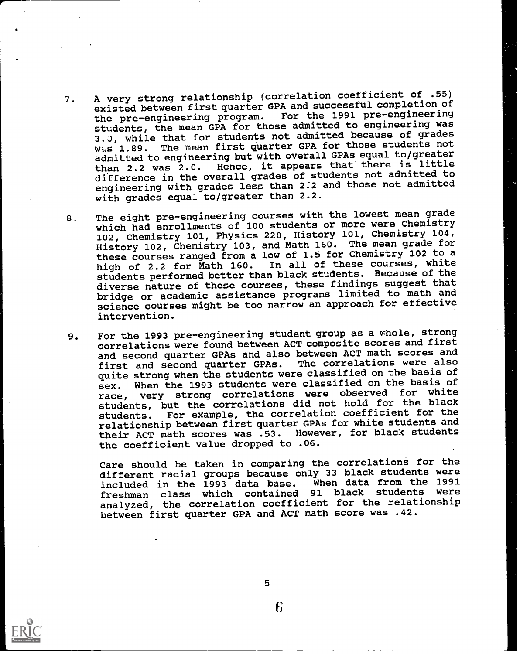- 7. A very strong relationship (correlation coefficient of .55) existed between first quarter GPA and successful completion of<br>the pre-engineering program. For the 1991 pre-engineering the pre-engineering program. For the 1991 pre-engineering<br>engineering program. For the 1991 pre-engineering was students, the mean GPA for those admitted to engineering was 3.0, while that for students not admitted because of grades was 1.89. The mean first quarter GPA for those students not admitted to engineering but with overall GPAs equal to/greater than 2.2 was 2.0. Hence, it appears that there is little difference in the overall grades of students not admitted to engineering with grades less than 2.2 and those not admitted with grades equal to/greater than 2.2.
- 8. The eight pre-engineering courses with the lowest mean grade which had enrollments of 100 students or more were Chemistry 102, Chemistry 101, Physics 220, History 101, Chemistry 104, History 102, Chemistry 103, and Math 160. The mean grade for these courses ranged from a low of 1.5 for Chemistry 102 to a<br>high of 2.2 for Math 160. In all of these courses, white high of 2.2 for Math 160. In all of these courses, white students performed better than black students. Because of the diverse nature of these courses, these findings suggest that bridge or academic assistance programs limited to math and science courses might be too narrow an approach for effective intervention.
- 9. For the 1993 pre-engineering student group as a whole, strong correlations were found between ACT composite scores and first and second quarter GPAs and also between ACT math scores and<br>first and second quarter GPAs. The correlations were also first and second quarter GPAs. quite strong when the students were classified on the basis of sex. When the 1993 students were classified on the basis of race, very strong correlations were observed for white students, but the correlations did not hold for the black students. For example, the correlation coefficient for the relationship between first quarter GPAs for white students and<br>their ACT math scores was .53. However, for black students their ACT math scores was .53. the coefficient value dropped to .06.

Care should be taken in comparing the correlations for the different racial groups because only 33 black students were<br>included in the 1993 data base. When data from the 1991 included in the 1993 data base. When data from the 1991<br>freshman, class, which, contained, 91 black, students, were freshman class which contained analyzed, the correlation coefficient for the relationship between first quarter GPA and ACT math score was .42.



5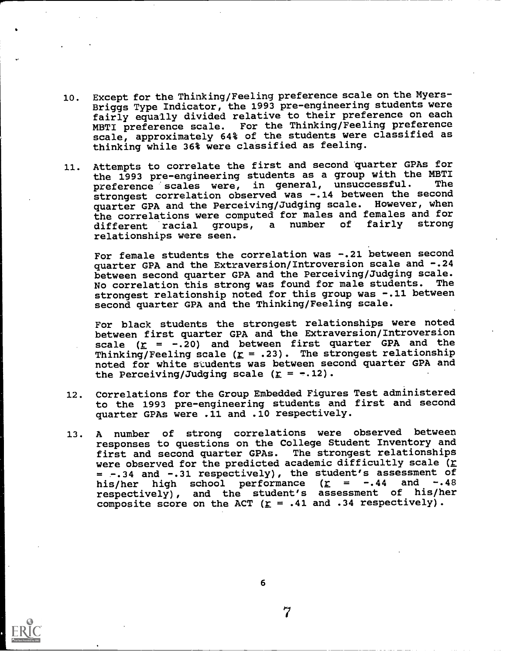- 10. Except for the Thinking/Feeling preference scale on the Myers-Briggs Type Indicator, the 1993 pre-engineering students were fairly equally divided relative to their preference on each MBTI preference scale. For the Thinking/Feeling preference scale, approximately 64% of the students were classified as thinking while 36% were classified as feeling.
- 11. Attempts to correlate the first and second quarter GPAs for the 1993 pre-engineering students as a group with the MBTI preference scales were, in general, unsuccessful. strongest correlation observed was -.14 between the second quarter GPA and the Perceiving/Judging scale. However, when the correlations were computed for males and females and for<br>different racial groups, a number of fairly strong different racial groups, a number relationships were seen.

For female students the correlation was -. 21 between second quarter GPA and the Extraversion/Introversion scale and -.24 between second quarter GPA and the Perceiving/Judging scale. No correlation this strong was found for male students. The strongest relationship noted for this group was -.11 between second quarter GPA and the Thinking/Feeling scale.

For black students the strongest relationships were noted between first quarter GPA and the Extraversion/Introversion scale  $(r = -.20)$  and between first quarter GPA and the Thinking/Feeling scale  $(r = .23)$ . The strongest relationship noted for white students was between second quarter GPA and the Perceiving/Judging scale  $(\Sigma = -.12)$ .

- 12. Correlations for the Group Embedded Figures Test administered to the 1993 pre-engineering students and first and second quarter GPAs were .11 and .10 respectively.
- 13. A number of strong correlations were observed between responses to questions on the College Student Inventory and first and second quarter GPAs. The strongest relationships were observed for the predicted academic difficultly scale ( $r$ = -.34 and -.31 respectively), the student's assessment of<br>his/ber high school performance (r = -.44 and -.48 his/her high school performance  $(r = -.44$ respectively), and the student's assessment of his/her composite score on the ACT ( $r = .41$  and .34 respectively).

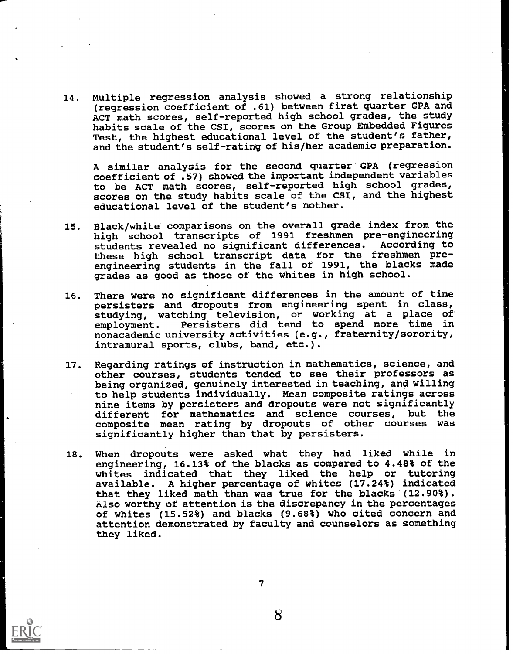14. Multiple regression analysis showed a strong relationship (regression coefficient of .61) between first quarter GPA and ACT math scores, self-reported high school grades, the study habits scale of the CSI, scores on the Group Embedded Figures Test, the highest educational level of the student's father, and the student's self-rating of his/her academic preparation.

A similar analysis for the second quarter GPA (regression coefficient of .57) showed the important independent variables to be ACT math scores, self-reported high school grades, scores on the study habits scale of the CSI, and the highest educational level of the student's mother.

- 15. Black/white comparisons on the overall grade index from the high school transcripts of 1991 freshmen pre-engineering<br>students revealed no significant differences. According to students revealed no significant differences. these high school transcript data for the freshmen preengineering students in the fall of 1991, the blacks made grades as good as those of the whites in high school.
- 16. There were no significant differences in the amount of time persisters and dropouts from engineering spent in class, studying, watching television, or working at a place of<br>employment. Persisters did tend to spend more time in Persisters did tend to spend more time in nonacademic university activities (e.g., fraternity/sorority, intramural sports, clubs, band, etc.).
- 17. Regarding ratings of instruction in mathematics, science, and other courses, students tended to see their professors as being organized, genuinely interested in teaching, and willing to help students individually. Mean composite ratings across nine items by persisters and dropouts were not significantly different for mathematics and science courses, but the composite mean rating by dropouts of other courses was significantly higher than that by persisters.
- 18. When dropouts were asked what they had liked while in engineering, 16.13% of the blacks as compared to 4.48% of the whites indicated that they liked the help or tutoring available. A higher percentage of whites (17.24%) indicated that they liked math than was true for the blacks (12.90%). Also worthy of attention is the discrepancy in the percentages of whites (15.52%) and blacks (9.68%) who cited concern and attention demonstrated by faculty and counselors as something they liked.



 $7\,$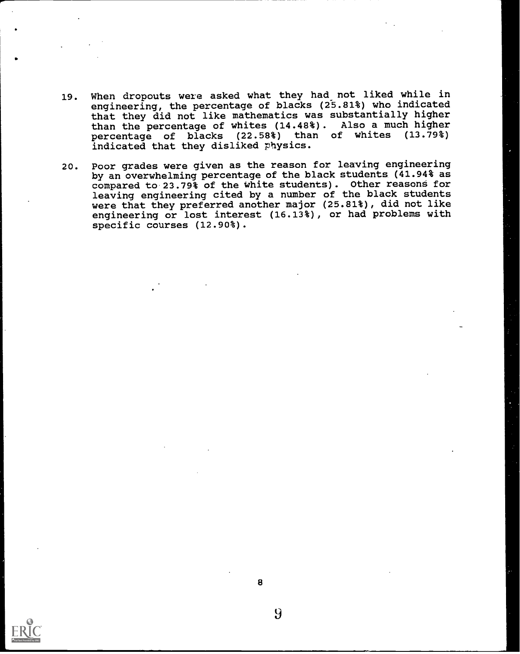- 19. When dropouts were asked what they had\_not liked while in engineering, the percentage of blacks (25.81%) who indicated that they did not like mathematics was substantially higher than the percentage of whites (14.48%). Also a much higher percentage of blacks (22.58%) than of whites (13.79%) indicated that they disliked physics.
- 20. Poor grades were given as the reason for leaving engineering by an overwhelming percentage of the black students (41.94% as compared to 23.79% of the White students). Other reasons for leaving engineering cited by a number of the black students were that they preferred another major (25.81%), did not like engineering or lost interest (16.13%), or had problems with specific courses (12.90%).

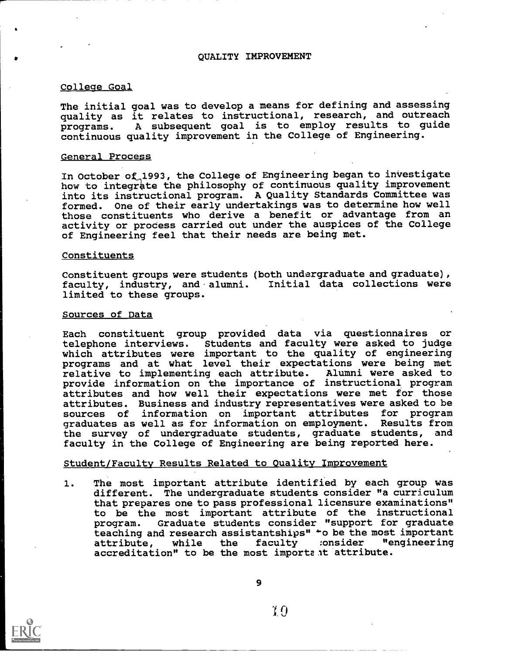## QUALITY IMPROVEMENT

#### College Goal

The initial goal was to develop a means for defining and assessing quality as it relates to instructional, research, and outreach programs. A subsequent goal is to employ results to guide continuous quality improvement in the College of Engineering.

#### General Process

In October of,1993, the College of Engineering began to investigate how to integrate the philosophy of continuous quality improvement into its instructional program. A Quality Standards Committee was formed. One of their early undertakings was to determine how well those constituents who derive a benefit or advantage from an activity or process carried out under the auspices of the College of Engineering feel that their needs are being met.

#### Constituents

Constituent groups were students (both undergraduate and graduate) , faculty, industry, and alumni. Initial data collections were limited to these groups.

#### Sources of Data

Each constituent group provided data via questionnaires or students and faculty were asked to judge which attributes were important to the quality of engineering programs and at what level their expectations were being met relative to implementing each attribute. Alumni were asked to provide information on the importance of instructional program attributes and how well their expectations were met for those attributes. Business and industry representatives were asked to be sources of information on important attributes for program important attributes for program<br>mation on emplovment. Results from graduates as well as for information on employment. Results from<br>the survey of undergraduate students, graduate students, and the survey of undergraduate students, graduate students, faculty in the College of Engineering are being reported here.

### Student/Faculty Results Related to Quality Improvement

1. The most important attribute identified by each group was different. The undergraduate students consider "a curriculum that prepares one to pass professional licensure examinations" to be the most important attribute of the instructional program. Graduate students consider "support for graduate teaching and research assistantships" +o be the most important<br>attribute. while the faculty :onsider "engineering attribute, while the faculty :onsider accreditation" to be the most important attribute.

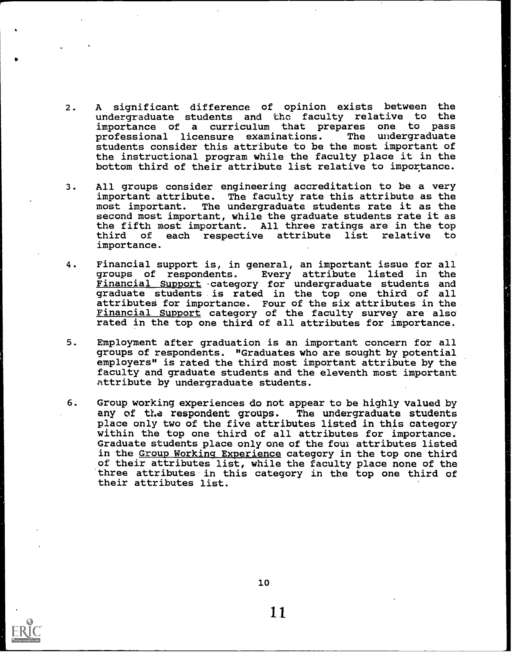- 2. A significant difference of opinion exists between the undergraduate students and the faculty relative to the importance of a curriculum that prepares one to pass importance of a curriculum that prepares one to pass professional licensure examinations. students consider this attribute to be the most important of the instructional program while the faculty place it in the bottom third of their attribute list relative to importance.
- 3. All groups consider engineering accreditation to be a very important attribute. The faculty rate this attribute as the most important. The undergraduate students rate it as the second most important, while the graduate students rate it as the fifth most important. All three ratings are in the top<br>third of each respective attribute list relative to each respective attribute list relative importance.
- 4. Financial support is, in general, an important issue for all<br>groups of respondents. Every attribute listed in the Every attribute listed in Financial Support -category for undergraduate students and graduate students is rated in the top one third of all attributes for importance. Four of the six attributes in the Financial Support category of the faculty survey are also rated in the top one third of all attributes for importance.
- 5. Employment after graduation is an important concern for all groups of respondents. "Graduates who are sought by potential employers" is rated the third most important attribute by the faculty and graduate students and the eleventh most important attribute by undergraduate students.
- 6. Group working experiences do not appear to be highly valued by any of the respondent groups. The undergraduate students any of the respondent groups. place only two of the five attributes listed in this category within the top one third of all attributes for importance. Graduate students place only one of the four attributes listed in the <u>Group Working Experience</u> category in the top one third of their attributes list, while the faculty place none of the three attributes in this category in the top one third of their attributes list.



10